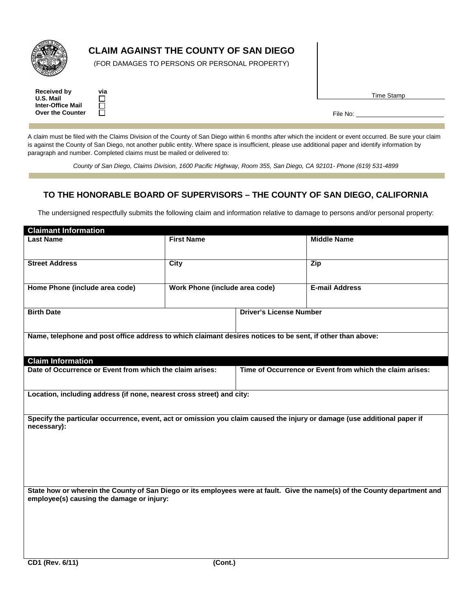

## **CLAIM AGAINST THE COUNTY OF SAN DIEGO**

(FOR DAMAGES TO PERSONS OR PERSONAL PROPERTY)

| <b>Received by</b>       | via          |
|--------------------------|--------------|
| U.S. Mail                | $\mathbf{L}$ |
| <b>Inter-Office Mail</b> | П            |
| <b>Over the Counter</b>  | $\mathbf{L}$ |

Time Stamp

File No:

A claim must be filed with the Claims Division of the County of San Diego within 6 months after which the incident or event occurred. Be sure your claim is against the County of San Diego, not another public entity. Where space is insufficient, please use additional paper and identify information by paragraph and number. Completed claims must be mailed or delivered to:

*County of San Diego, Claims Division, 1600 Pacific Highway, Room 355, San Diego, CA 92101- Phone (619) 531-4899*

## **TO THE HONORABLE BOARD OF SUPERVISORS – THE COUNTY OF SAN DIEGO, CALIFORNIA**

The undersigned respectfully submits the following claim and information relative to damage to persons and/or personal property:

| <b>Claimant Information</b>                                                                                                             |                                |                                |                                                                                                                            |
|-----------------------------------------------------------------------------------------------------------------------------------------|--------------------------------|--------------------------------|----------------------------------------------------------------------------------------------------------------------------|
| <b>Last Name</b>                                                                                                                        | <b>First Name</b>              |                                | <b>Middle Name</b>                                                                                                         |
| <b>Street Address</b>                                                                                                                   | <b>City</b>                    |                                | Zip                                                                                                                        |
| Home Phone (include area code)                                                                                                          | Work Phone (include area code) |                                | <b>E-mail Address</b>                                                                                                      |
| <b>Birth Date</b>                                                                                                                       |                                | <b>Driver's License Number</b> |                                                                                                                            |
| Name, telephone and post office address to which claimant desires notices to be sent, if other than above:                              |                                |                                |                                                                                                                            |
| <b>Claim Information</b>                                                                                                                |                                |                                |                                                                                                                            |
| Date of Occurrence or Event from which the claim arises:                                                                                |                                |                                | Time of Occurrence or Event from which the claim arises:                                                                   |
| Location, including address (if none, nearest cross street) and city:                                                                   |                                |                                |                                                                                                                            |
| Specify the particular occurrence, event, act or omission you claim caused the injury or damage (use additional paper if<br>necessary): |                                |                                |                                                                                                                            |
| employee(s) causing the damage or injury:                                                                                               |                                |                                | State how or wherein the County of San Diego or its employees were at fault. Give the name(s) of the County department and |